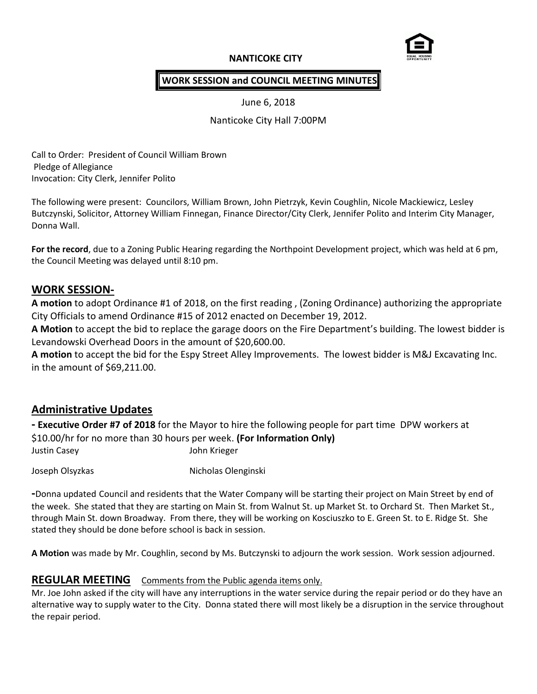# **NANTICOKE CITY**



### **WORK SESSION and COUNCIL MEETING MINUTES**

June 6, 2018

Nanticoke City Hall 7:00PM

Call to Order: President of Council William Brown Pledge of Allegiance Invocation: City Clerk, Jennifer Polito

The following were present: Councilors, William Brown, John Pietrzyk, Kevin Coughlin, Nicole Mackiewicz, Lesley Butczynski, Solicitor, Attorney William Finnegan, Finance Director/City Clerk, Jennifer Polito and Interim City Manager, Donna Wall.

**For the record**, due to a Zoning Public Hearing regarding the Northpoint Development project, which was held at 6 pm, the Council Meeting was delayed until 8:10 pm.

# **WORK SESSION-**

**A motion** to adopt Ordinance #1 of 2018, on the first reading , (Zoning Ordinance) authorizing the appropriate City Officials to amend Ordinance #15 of 2012 enacted on December 19, 2012.

**A Motion** to accept the bid to replace the garage doors on the Fire Department's building. The lowest bidder is Levandowski Overhead Doors in the amount of \$20,600.00.

**A motion** to accept the bid for the Espy Street Alley Improvements. The lowest bidder is M&J Excavating Inc. in the amount of \$69,211.00.

# **Administrative Updates**

**- Executive Order #7 of 2018** for the Mayor to hire the following people for part time DPW workers at \$10.00/hr for no more than 30 hours per week. **(For Information Only)** Justin Casey John Krieger

Joseph Olsyzkas Nicholas Olenginski

**-**Donna updated Council and residents that the Water Company will be starting their project on Main Street by end of the week. She stated that they are starting on Main St. from Walnut St. up Market St. to Orchard St. Then Market St., through Main St. down Broadway. From there, they will be working on Kosciuszko to E. Green St. to E. Ridge St. She stated they should be done before school is back in session.

**A Motion** was made by Mr. Coughlin, second by Ms. Butczynski to adjourn the work session. Work session adjourned.

# **REGULAR MEETING** Comments from the Public agenda items only.

Mr. Joe John asked if the city will have any interruptions in the water service during the repair period or do they have an alternative way to supply water to the City. Donna stated there will most likely be a disruption in the service throughout the repair period.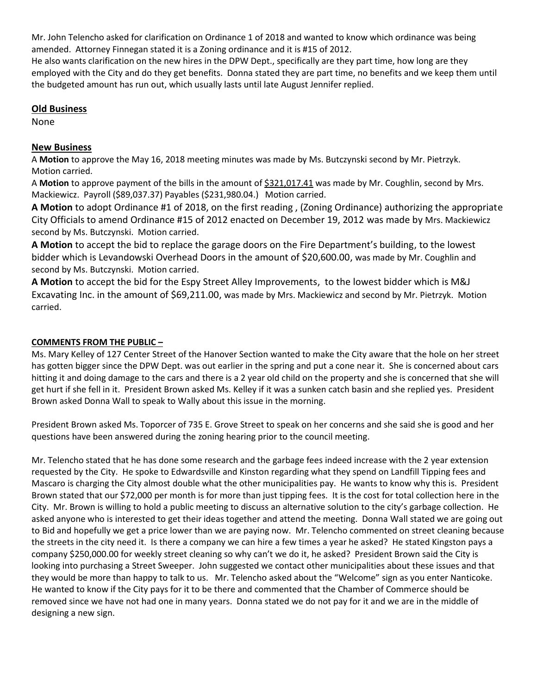Mr. John Telencho asked for clarification on Ordinance 1 of 2018 and wanted to know which ordinance was being amended. Attorney Finnegan stated it is a Zoning ordinance and it is #15 of 2012.

He also wants clarification on the new hires in the DPW Dept., specifically are they part time, how long are they employed with the City and do they get benefits. Donna stated they are part time, no benefits and we keep them until the budgeted amount has run out, which usually lasts until late August Jennifer replied.

#### **Old Business**

None

### **New Business**

A **Motion** to approve the May 16, 2018 meeting minutes was made by Ms. Butczynski second by Mr. Pietrzyk. Motion carried.

A **Motion** to approve payment of the bills in the amount of \$321,017.41 was made by Mr. Coughlin, second by Mrs. Mackiewicz. Payroll (\$89,037.37) Payables (\$231,980.04.) Motion carried.

**A Motion** to adopt Ordinance #1 of 2018, on the first reading , (Zoning Ordinance) authorizing the appropriate City Officials to amend Ordinance #15 of 2012 enacted on December 19, 2012 was made by Mrs. Mackiewicz second by Ms. Butczynski. Motion carried.

**A Motion** to accept the bid to replace the garage doors on the Fire Department's building, to the lowest bidder which is Levandowski Overhead Doors in the amount of \$20,600.00, was made by Mr. Coughlin and second by Ms. Butczynski. Motion carried.

**A Motion** to accept the bid for the Espy Street Alley Improvements, to the lowest bidder which is M&J Excavating Inc. in the amount of \$69,211.00, was made by Mrs. Mackiewicz and second by Mr. Pietrzyk. Motion carried.

### **COMMENTS FROM THE PUBLIC –**

Ms. Mary Kelley of 127 Center Street of the Hanover Section wanted to make the City aware that the hole on her street has gotten bigger since the DPW Dept. was out earlier in the spring and put a cone near it. She is concerned about cars hitting it and doing damage to the cars and there is a 2 year old child on the property and she is concerned that she will get hurt if she fell in it. President Brown asked Ms. Kelley if it was a sunken catch basin and she replied yes. President Brown asked Donna Wall to speak to Wally about this issue in the morning.

President Brown asked Ms. Toporcer of 735 E. Grove Street to speak on her concerns and she said she is good and her questions have been answered during the zoning hearing prior to the council meeting.

Mr. Telencho stated that he has done some research and the garbage fees indeed increase with the 2 year extension requested by the City. He spoke to Edwardsville and Kinston regarding what they spend on Landfill Tipping fees and Mascaro is charging the City almost double what the other municipalities pay. He wants to know why this is. President Brown stated that our \$72,000 per month is for more than just tipping fees. It is the cost for total collection here in the City. Mr. Brown is willing to hold a public meeting to discuss an alternative solution to the city's garbage collection. He asked anyone who is interested to get their ideas together and attend the meeting. Donna Wall stated we are going out to Bid and hopefully we get a price lower than we are paying now. Mr. Telencho commented on street cleaning because the streets in the city need it. Is there a company we can hire a few times a year he asked? He stated Kingston pays a company \$250,000.00 for weekly street cleaning so why can't we do it, he asked? President Brown said the City is looking into purchasing a Street Sweeper. John suggested we contact other municipalities about these issues and that they would be more than happy to talk to us. Mr. Telencho asked about the "Welcome" sign as you enter Nanticoke. He wanted to know if the City pays for it to be there and commented that the Chamber of Commerce should be removed since we have not had one in many years. Donna stated we do not pay for it and we are in the middle of designing a new sign.